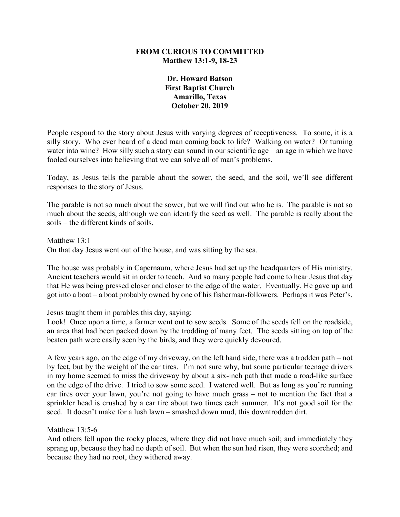# **FROM CURIOUS TO COMMITTED Matthew 13:1-9, 18-23**

**Dr. Howard Batson First Baptist Church Amarillo, Texas October 20, 2019**

People respond to the story about Jesus with varying degrees of receptiveness. To some, it is a silly story. Who ever heard of a dead man coming back to life? Walking on water? Or turning water into wine? How silly such a story can sound in our scientific age – an age in which we have fooled ourselves into believing that we can solve all of man's problems.

Today, as Jesus tells the parable about the sower, the seed, and the soil, we'll see different responses to the story of Jesus.

The parable is not so much about the sower, but we will find out who he is. The parable is not so much about the seeds, although we can identify the seed as well. The parable is really about the soils – the different kinds of soils.

Matthew 13:1 On that day Jesus went out of the house, and was sitting by the sea.

The house was probably in Capernaum, where Jesus had set up the headquarters of His ministry. Ancient teachers would sit in order to teach. And so many people had come to hear Jesus that day that He was being pressed closer and closer to the edge of the water. Eventually, He gave up and got into a boat – a boat probably owned by one of his fisherman-followers. Perhaps it was Peter's.

Jesus taught them in parables this day, saying:

Look! Once upon a time, a farmer went out to sow seeds. Some of the seeds fell on the roadside, an area that had been packed down by the trodding of many feet. The seeds sitting on top of the beaten path were easily seen by the birds, and they were quickly devoured.

A few years ago, on the edge of my driveway, on the left hand side, there was a trodden path – not by feet, but by the weight of the car tires. I'm not sure why, but some particular teenage drivers in my home seemed to miss the driveway by about a six-inch path that made a road-like surface on the edge of the drive. I tried to sow some seed. I watered well. But as long as you're running car tires over your lawn, you're not going to have much grass – not to mention the fact that a sprinkler head is crushed by a car tire about two times each summer. It's not good soil for the seed. It doesn't make for a lush lawn – smashed down mud, this downtrodden dirt.

Matthew 13:5-6

And others fell upon the rocky places, where they did not have much soil; and immediately they sprang up, because they had no depth of soil. But when the sun had risen, they were scorched; and because they had no root, they withered away.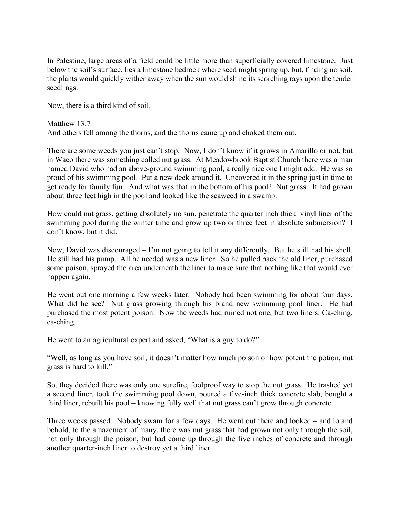In Palestine, large areas of a field could be little more than superficially covered limestone. Just below the soil's surface, lies a limestone bedrock where seed might spring up, but, finding no soil, the plants would quickly wither away when the sun would shine its scorching rays upon the tender seedlings.

Now, there is a third kind of soil.

Matthew 13:7 And others fell among the thorns, and the thorns came up and choked them out.

There are some weeds you just can't stop. Now, I don't know if it grows in Amarillo or not, but in Waco there was something called nut grass. At Meadowbrook Baptist Church there was a man named David who had an above-ground swimming pool, a really nice one I might add. He was so proud of his swimming pool. Put a new deck around it. Uncovered it in the spring just in time to get ready for family fun. And what was that in the bottom of his pool? Nut grass. It had grown about three feet high in the pool and looked like the seaweed in a swamp.

How could nut grass, getting absolutely no sun, penetrate the quarter inch thick vinyl liner of the swimming pool during the winter time and grow up two or three feet in absolute submersion? I don't know, but it did.

Now, David was discouraged – I'm not going to tell it any differently. But he still had his shell. He still had his pump. All he needed was a new liner. So he pulled back the old liner, purchased some poison, sprayed the area underneath the liner to make sure that nothing like that would ever happen again.

He went out one morning a few weeks later. Nobody had been swimming for about four days. What did he see? Nut grass growing through his brand new swimming pool liner. He had purchased the most potent poison. Now the weeds had ruined not one, but two liners. Ca-ching, ca-ching.

He went to an agricultural expert and asked, "What is a guy to do?"

"Well, as long as you have soil, it doesn't matter how much poison or how potent the potion, nut grass is hard to kill."

So, they decided there was only one surefire, foolproof way to stop the nut grass. He trashed yet a second liner, took the swimming pool down, poured a five-inch thick concrete slab, bought a third liner, rebuilt his pool – knowing fully well that nut grass can't grow through concrete.

Three weeks passed. Nobody swam for a few days. He went out there and looked – and lo and behold, to the amazement of many, there was nut grass that had grown not only through the soil, not only through the poison, but had come up through the five inches of concrete and through another quarter-inch liner to destroy yet a third liner.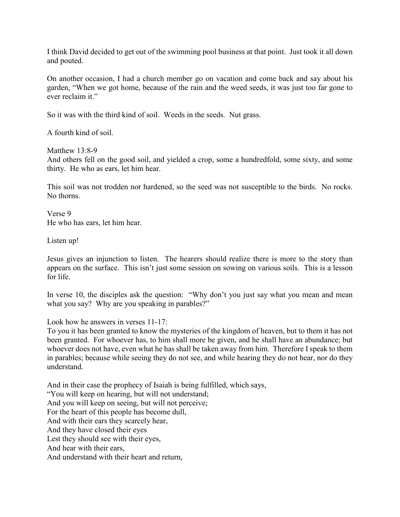I think David decided to get out of the swimming pool business at that point. Just took it all down and pouted.

On another occasion, I had a church member go on vacation and come back and say about his garden, "When we got home, because of the rain and the weed seeds, it was just too far gone to ever reclaim it."

So it was with the third kind of soil. Weeds in the seeds. Nut grass.

A fourth kind of soil.

Matthew 13:8-9

And others fell on the good soil, and yielded a crop, some a hundredfold, some sixty, and some thirty. He who as ears, let him hear.

This soil was not trodden nor hardened, so the seed was not susceptible to the birds. No rocks. No thorns.

Verse 9 He who has ears, let him hear.

Listen up!

Jesus gives an injunction to listen. The hearers should realize there is more to the story than appears on the surface. This isn't just some session on sowing on various soils. This is a lesson for life.

In verse 10, the disciples ask the question: "Why don't you just say what you mean and mean what you say? Why are you speaking in parables?"

Look how he answers in verses 11-17:

To you it has been granted to know the mysteries of the kingdom of heaven, but to them it has not been granted. For whoever has, to him shall more be given, and he shall have an abundance; but whoever does not have, even what he has shall be taken away from him. Therefore I speak to them in parables; because while seeing they do not see, and while hearing they do not hear, nor do they understand.

And in their case the prophecy of Isaiah is being fulfilled, which says, "You will keep on hearing, but will not understand; And you will keep on seeing, but will not perceive; For the heart of this people has become dull, And with their ears they scarcely hear, And they have closed their eyes Lest they should see with their eyes, And hear with their ears, And understand with their heart and return,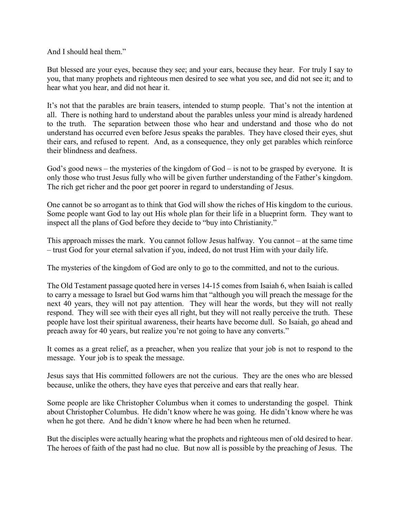And I should heal them."

But blessed are your eyes, because they see; and your ears, because they hear. For truly I say to you, that many prophets and righteous men desired to see what you see, and did not see it; and to hear what you hear, and did not hear it.

It's not that the parables are brain teasers, intended to stump people. That's not the intention at all. There is nothing hard to understand about the parables unless your mind is already hardened to the truth. The separation between those who hear and understand and those who do not understand has occurred even before Jesus speaks the parables. They have closed their eyes, shut their ears, and refused to repent. And, as a consequence, they only get parables which reinforce their blindness and deafness.

God's good news – the mysteries of the kingdom of God – is not to be grasped by everyone. It is only those who trust Jesus fully who will be given further understanding of the Father's kingdom. The rich get richer and the poor get poorer in regard to understanding of Jesus.

One cannot be so arrogant as to think that God will show the riches of His kingdom to the curious. Some people want God to lay out His whole plan for their life in a blueprint form. They want to inspect all the plans of God before they decide to "buy into Christianity."

This approach misses the mark. You cannot follow Jesus halfway. You cannot – at the same time – trust God for your eternal salvation if you, indeed, do not trust Him with your daily life.

The mysteries of the kingdom of God are only to go to the committed, and not to the curious.

The Old Testament passage quoted here in verses 14-15 comes from Isaiah 6, when Isaiah is called to carry a message to Israel but God warns him that "although you will preach the message for the next 40 years, they will not pay attention. They will hear the words, but they will not really respond. They will see with their eyes all right, but they will not really perceive the truth. These people have lost their spiritual awareness, their hearts have become dull. So Isaiah, go ahead and preach away for 40 years, but realize you're not going to have any converts."

It comes as a great relief, as a preacher, when you realize that your job is not to respond to the message. Your job is to speak the message.

Jesus says that His committed followers are not the curious. They are the ones who are blessed because, unlike the others, they have eyes that perceive and ears that really hear.

Some people are like Christopher Columbus when it comes to understanding the gospel. Think about Christopher Columbus. He didn't know where he was going. He didn't know where he was when he got there. And he didn't know where he had been when he returned.

But the disciples were actually hearing what the prophets and righteous men of old desired to hear. The heroes of faith of the past had no clue. But now all is possible by the preaching of Jesus. The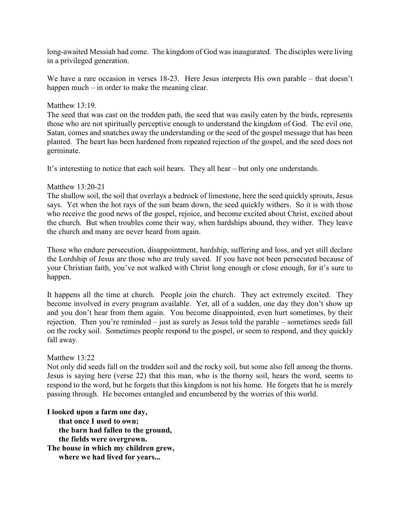long-awaited Messiah had come. The kingdom of God was inaugurated. The disciples were living in a privileged generation.

We have a rare occasion in verses 18-23. Here Jesus interprets His own parable – that doesn't happen much – in order to make the meaning clear.

### Matthew 13:19.

The seed that was cast on the trodden path, the seed that was easily eaten by the birds, represents those who are not spiritually perceptive enough to understand the kingdom of God. The evil one, Satan, comes and snatches away the understanding or the seed of the gospel message that has been planted. The heart has been hardened from repeated rejection of the gospel, and the seed does not germinate.

It's interesting to notice that each soil hears. They all hear – but only one understands.

#### Matthew 13:20-21

The shallow soil, the soil that overlays a bedrock of limestone, here the seed quickly sprouts, Jesus says. Yet when the hot rays of the sun beam down, the seed quickly withers. So it is with those who receive the good news of the gospel, rejoice, and become excited about Christ, excited about the church. But when troubles come their way, when hardships abound, they wither. They leave the church and many are never heard from again.

Those who endure persecution, disappointment, hardship, suffering and loss, and yet still declare the Lordship of Jesus are those who are truly saved. If you have not been persecuted because of your Christian faith, you've not walked with Christ long enough or close enough, for it's sure to happen.

It happens all the time at church. People join the church. They act extremely excited. They become involved in every program available. Yet, all of a sudden, one day they don't show up and you don't hear from them again. You become disappointed, even hurt sometimes, by their rejection. Then you're reminded – just as surely as Jesus told the parable – sometimes seeds fall on the rocky soil. Sometimes people respond to the gospel, or seem to respond, and they quickly fall away.

# Matthew 13:22

Not only did seeds fall on the trodden soil and the rocky soil, but some also fell among the thorns. Jesus is saying here (verse 22) that this man, who is the thorny soil, hears the word, seems to respond to the word, but he forgets that this kingdom is not his home. He forgets that he is merely passing through. He becomes entangled and encumbered by the worries of this world.

**I looked upon a farm one day, that once I used to own; the barn had fallen to the ground, the fields were overgrown. The house in which my children grew, where we had lived for years...**